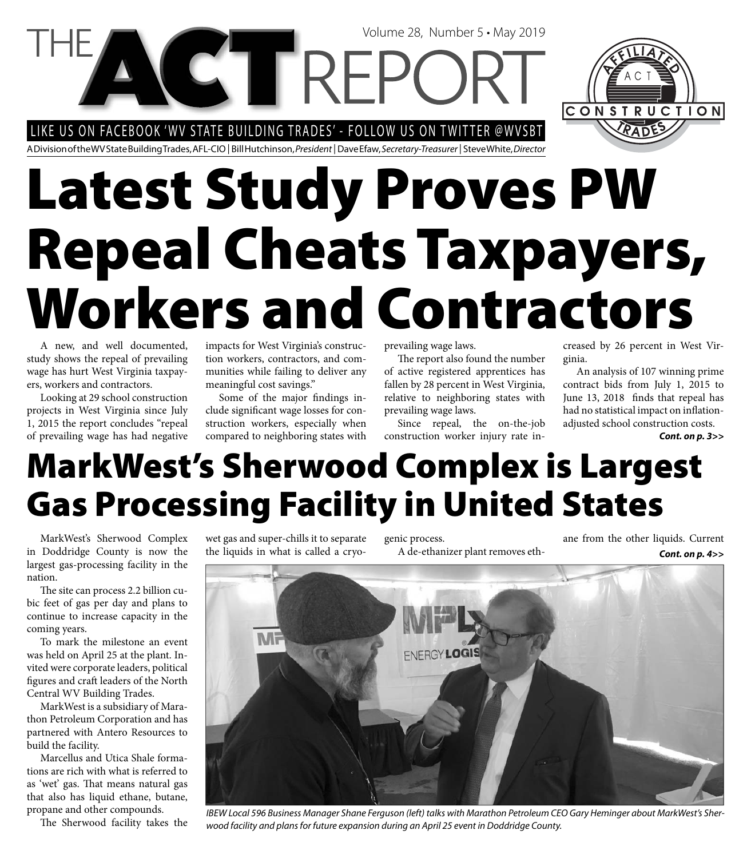LIKE US ON FACEBOOK 'WV STATE BUILDING TRADES' - FOLLOW US ON TWITTER @WVSBT

CTREP



A Division of the WV State Building Trades, AFL-CIO | Bill Hutchinson, President | Dave Efaw, Secretary-Treasurer | Steve White, Director

# **Latest Study Proves PW Repeal Cheats Taxpayers, Workers and Contractors**

A new, and well documented, study shows the repeal of prevailing wage has hurt West Virginia taxpayers, workers and contractors.

Looking at 29 school construction projects in West Virginia since July 1, 2015 the report concludes "repeal of prevailing wage has had negative impacts for West Virginia's construction workers, contractors, and communities while failing to deliver any meaningful cost savings."

Some of the major findings include significant wage losses for construction workers, especially when compared to neighboring states with prevailing wage laws.

The report also found the number of active registered apprentices has fallen by 28 percent in West Virginia, relative to neighboring states with prevailing wage laws.

Volume 28, Number 5 • May 2019

Since repeal, the on-the-job construction worker injury rate increased by 26 percent in West Virginia.

An analysis of 107 winning prime contract bids from July 1, 2015 to June 13, 2018 finds that repeal has had no statistical impact on inflationadjusted school construction costs. *Cont. on p. 3>>*

### **MarkWest's Sherwood Complex is Largest Gas Processing Facility in United States**

MarkWest's Sherwood Complex in Doddridge County is now the largest gas-processing facility in the nation.

The site can process 2.2 billion cubic feet of gas per day and plans to continue to increase capacity in the coming years.

To mark the milestone an event was held on April 25 at the plant. Invited were corporate leaders, political figures and craft leaders of the North Central WV Building Trades.

MarkWest is a subsidiary of Marathon Petroleum Corporation and has partnered with Antero Resources to build the facility.

Marcellus and Utica Shale formations are rich with what is referred to as 'wet' gas. That means natural gas that also has liquid ethane, butane, propane and other compounds.

The Sherwood facility takes the

wet gas and super-chills it to separate the liquids in what is called a cryo-

genic process. A de-ethanizer plant removes ethane from the other liquids. Current *Cont. on p. 4>>*



IBEW Local 596 Business Manager Shane Ferguson (left) talks with Marathon Petroleum CEO Gary Heminger about MarkWest's Sherwood facility and plans for future expansion during an April 25 event in Doddridge County.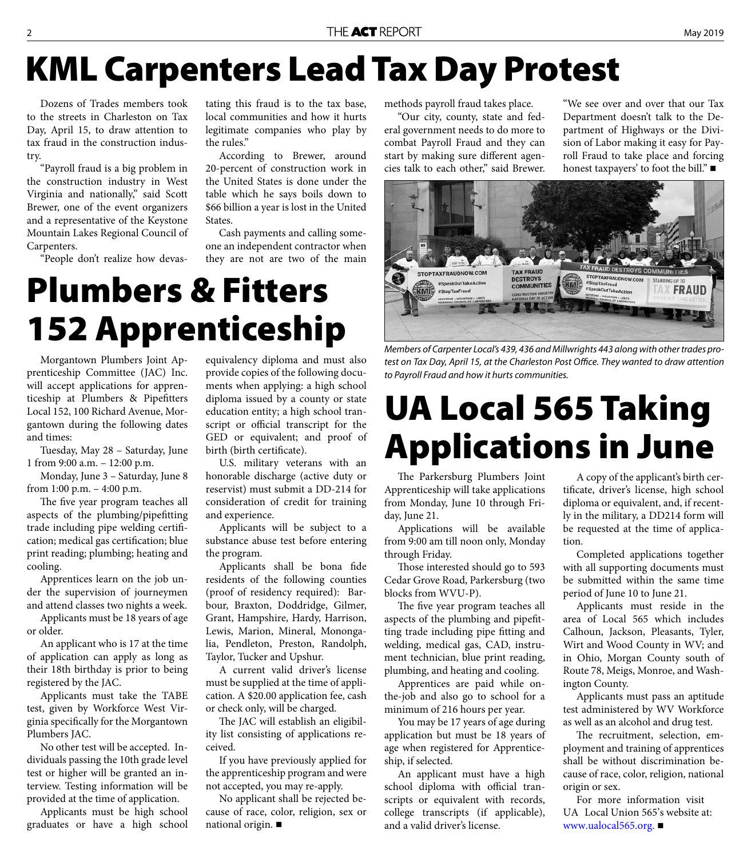### **KML Carpenters Lead Tax Day Protest**

Dozens of Trades members took to the streets in Charleston on Tax Day, April 15, to draw attention to tax fraud in the construction industry.

"Payroll fraud is a big problem in the construction industry in West Virginia and nationally," said Scott Brewer, one of the event organizers and a representative of the Keystone Mountain Lakes Regional Council of Carpenters.

"People don't realize how devas-

tating this fraud is to the tax base, local communities and how it hurts legitimate companies who play by the rules."

According to Brewer, around 20-percent of construction work in the United States is done under the table which he says boils down to \$66 billion a year is lost in the United States.

Cash payments and calling someone an independent contractor when they are not are two of the main

#### **Plumbers & Fitters 152 Apprenticeship**

Morgantown Plumbers Joint Apprenticeship Committee (JAC) Inc. will accept applications for apprenticeship at Plumbers & Pipefitters Local 152, 100 Richard Avenue, Morgantown during the following dates and times:

Tuesday, May 28 – Saturday, June 1 from 9:00 a.m. – 12:00 p.m.

Monday, June 3 – Saturday, June 8 from 1:00 p.m. – 4:00 p.m.

The five year program teaches all aspects of the plumbing/pipefitting trade including pipe welding certification; medical gas certification; blue print reading; plumbing; heating and cooling.

Apprentices learn on the job under the supervision of journeymen and attend classes two nights a week.

Applicants must be 18 years of age or older.

An applicant who is 17 at the time of application can apply as long as their 18th birthday is prior to being registered by the JAC.

Applicants must take the TABE test, given by Workforce West Virginia specifically for the Morgantown Plumbers JAC.

No other test will be accepted. Individuals passing the 10th grade level test or higher will be granted an interview. Testing information will be provided at the time of application.

Applicants must be high school graduates or have a high school equivalency diploma and must also provide copies of the following documents when applying: a high school diploma issued by a county or state education entity; a high school transcript or official transcript for the GED or equivalent; and proof of birth (birth certificate).

U.S. military veterans with an honorable discharge (active duty or reservist) must submit a DD-214 for consideration of credit for training and experience.

Applicants will be subject to a substance abuse test before entering the program.

Applicants shall be bona fide residents of the following counties (proof of residency required): Barbour, Braxton, Doddridge, Gilmer, Grant, Hampshire, Hardy, Harrison, Lewis, Marion, Mineral, Monongalia, Pendleton, Preston, Randolph, Taylor, Tucker and Upshur.

A current valid driver's license must be supplied at the time of application. A \$20.00 application fee, cash or check only, will be charged.

The JAC will establish an eligibility list consisting of applications received.

If you have previously applied for the apprenticeship program and were not accepted, you may re-apply.

No applicant shall be rejected because of race, color, religion, sex or national origin.

methods payroll fraud takes place.

"Our city, county, state and federal government needs to do more to combat Payroll Fraud and they can start by making sure different agencies talk to each other," said Brewer. "We see over and over that our Tax Department doesn't talk to the Department of Highways or the Division of Labor making it easy for Payroll Fraud to take place and forcing honest taxpayers' to foot the bill."



Members of Carpenter Local's 439, 436 and Millwrights 443 along with other trades protest on Tax Day, April 15, at the Charleston Post Office. They wanted to draw attention to Payroll Fraud and how it hurts communities.

#### **UA Local 565 Taking Applications in June**

The Parkersburg Plumbers Joint Apprenticeship will take applications from Monday, June 10 through Friday, June 21.

Applications will be available from 9:00 am till noon only, Monday through Friday.

Those interested should go to 593 Cedar Grove Road, Parkersburg (two blocks from WVU-P).

The five year program teaches all aspects of the plumbing and pipefitting trade including pipe fitting and welding, medical gas, CAD, instrument technician, blue print reading, plumbing, and heating and cooling.

Apprentices are paid while onthe-job and also go to school for a minimum of 216 hours per year.

You may be 17 years of age during application but must be 18 years of age when registered for Apprenticeship, if selected.

An applicant must have a high school diploma with official transcripts or equivalent with records, college transcripts (if applicable), and a valid driver's license.

A copy of the applicant's birth certificate, driver's license, high school diploma or equivalent, and, if recently in the military, a DD214 form will be requested at the time of application.

Completed applications together with all supporting documents must be submitted within the same time period of June 10 to June 21.

Applicants must reside in the area of Local 565 which includes Calhoun, Jackson, Pleasants, Tyler, Wirt and Wood County in WV; and in Ohio, Morgan County south of Route 78, Meigs, Monroe, and Washington County.

Applicants must pass an aptitude test administered by WV Workforce as well as an alcohol and drug test.

The recruitment, selection, employment and training of apprentices shall be without discrimination because of race, color, religion, national origin or sex.

For more information visit UA Local Union 565's website at: www.ualocal565.org.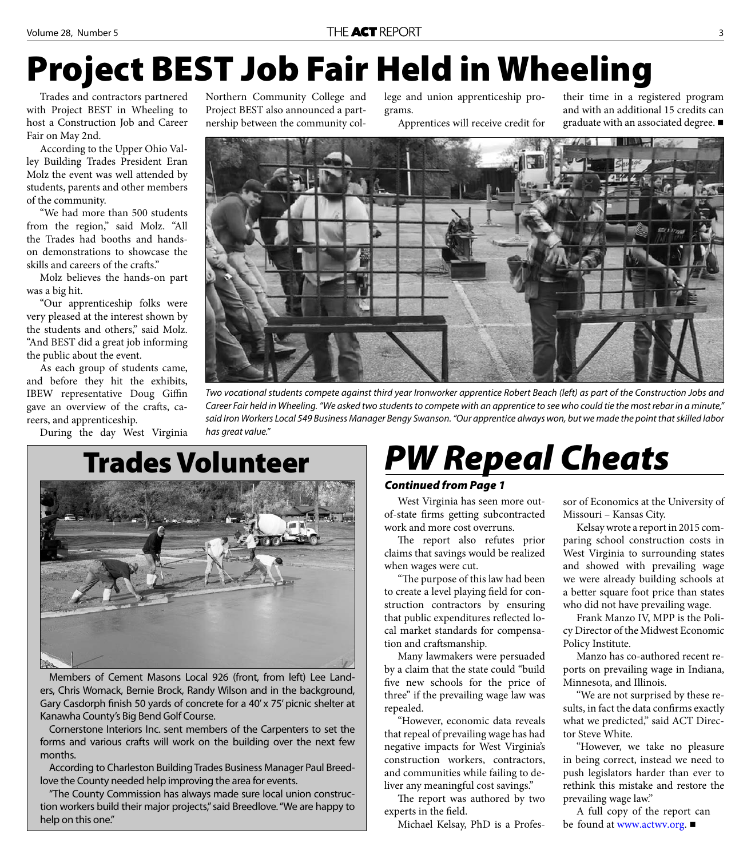### **Project BEST Job Fair Held in Wheeling**

Trades and contractors partnered with Project BEST in Wheeling to host a Construction Job and Career Fair on May 2nd.

According to the Upper Ohio Valley Building Trades President Eran Molz the event was well attended by students, parents and other members of the community.

"We had more than 500 students from the region," said Molz. "All the Trades had booths and handson demonstrations to showcase the skills and careers of the crafts."

Molz believes the hands-on part was a big hit.

"Our apprenticeship folks were very pleased at the interest shown by the students and others," said Molz. "And BEST did a great job informing the public about the event.

As each group of students came, and before they hit the exhibits, IBEW representative Doug Giffin gave an overview of the crafts, careers, and apprenticeship.

During the day West Virginia

Northern Community College and Project BEST also announced a partnership between the community college and union apprenticeship programs.

Apprentices will receive credit for

their time in a registered program and with an additional 15 credits can graduate with an associated degree.



Two vocational students compete against third year Ironworker apprentice Robert Beach (left) as part of the Construction Jobs and Career Fair held in Wheeling. "We asked two students to compete with an apprentice to see who could tie the most rebar in a minute," said Iron Workers Local 549 Business Manager Bengy Swanson. "Our apprentice always won, but we made the point that skilled labor has great value."

#### **Trades Volunteer**



Members of Cement Masons Local 926 (front, from left) Lee Landers, Chris Womack, Bernie Brock, Randy Wilson and in the background, Gary Casdorph finish 50 yards of concrete for a 40' x 75' picnic shelter at Kanawha County's Big Bend Golf Course.

Cornerstone Interiors Inc. sent members of the Carpenters to set the forms and various crafts will work on the building over the next few months.

According to Charleston Building Trades Business Manager Paul Breedlove the County needed help improving the area for events.

"The County Commission has always made sure local union construction workers build their major projects," said Breedlove. "We are happy to help on this one."

#### *PW Repeal Cheats*

#### *Continued from Page 1*

West Virginia has seen more outof-state firms getting subcontracted work and more cost overruns.

The report also refutes prior claims that savings would be realized when wages were cut.

"The purpose of this law had been to create a level playing field for construction contractors by ensuring that public expenditures reflected local market standards for compensation and craftsmanship.

Many lawmakers were persuaded by a claim that the state could "build five new schools for the price of three" if the prevailing wage law was repealed.

"However, economic data reveals that repeal of prevailing wage has had negative impacts for West Virginia's construction workers, contractors, and communities while failing to deliver any meaningful cost savings."

The report was authored by two experts in the field.

Michael Kelsay, PhD is a Profes-

sor of Economics at the University of Missouri – Kansas City.

Kelsay wrote a report in 2015 comparing school construction costs in West Virginia to surrounding states and showed with prevailing wage we were already building schools at a better square foot price than states who did not have prevailing wage.

Frank Manzo IV, MPP is the Policy Director of the Midwest Economic Policy Institute.

Manzo has co-authored recent reports on prevailing wage in Indiana, Minnesota, and Illinois.

"We are not surprised by these results, in fact the data confirms exactly what we predicted," said ACT Director Steve White.

"However, we take no pleasure in being correct, instead we need to push legislators harder than ever to rethink this mistake and restore the prevailing wage law."

A full copy of the report can be found at www.actwv.org. ■